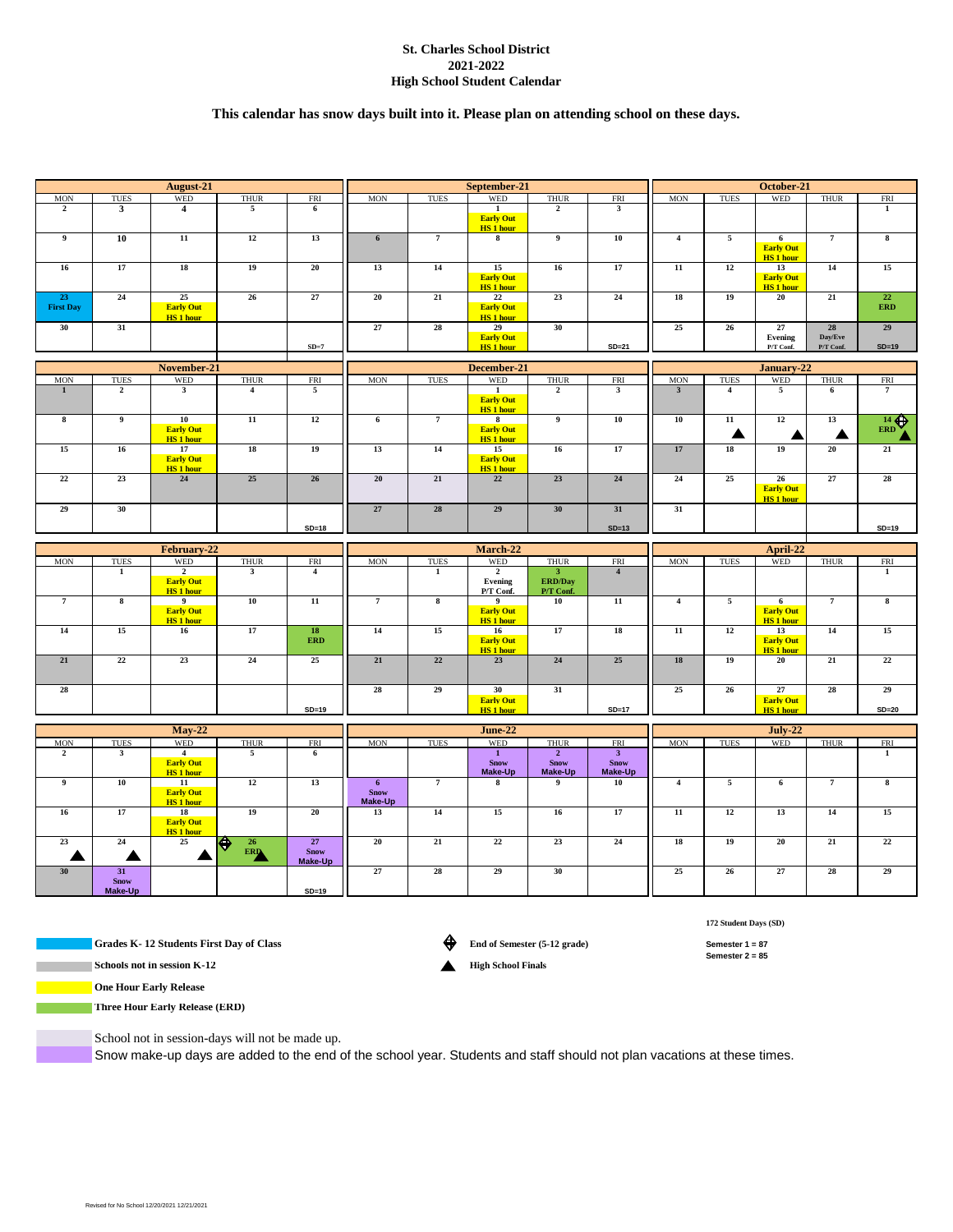# **St. Charles School District 2021-2022 High School Student Calendar**

# **This calendar has snow days built into it. Please plan on attending school on these days.**

| <b>MON</b><br><b>TUES</b><br><b>THUR</b><br>FRI<br><b>MON</b><br><b>TUES</b><br><b>THUR</b><br><b>FRI</b><br><b>MON</b><br><b>TUES</b><br><b>THUR</b><br><b>FRI</b><br>$\overline{2}$<br>$\overline{4}$<br>5<br>$1\,$<br>$\overline{2}$<br>$\mathbf{3}$<br>$\mathbf 1$<br>3<br>6<br><b>Early Out</b><br><b>HS 1 hour</b><br>$\overline{9}$<br>10<br>11<br>12<br>13<br>$6\phantom{.}6$<br>$\overline{7}$<br>$\bf{8}$<br>$\overline{9}$<br>10<br>$\overline{\mathbf{4}}$<br>$\overline{5}$<br>$\overline{7}$<br>$\bf{8}$<br>6<br><b>Early Out</b><br><b>HS 1 hour</b><br>17<br>19<br>20<br>14<br>17<br>$\overline{11}$<br>12<br>16<br>18<br>13<br>15<br>16<br>13<br>14<br>15<br><b>Early Out</b><br><b>Early Out</b><br><b>HS 1 hour</b><br><b>HS 1 hour</b><br>24<br>25<br>27<br>20<br>21<br>22<br>24<br>19<br>$\overline{21}$<br>22<br>23<br>26<br>23<br>18<br>20<br><b>Early Out</b><br><b>First Day</b><br><b>Early Out</b><br><b>ERD</b><br><b>HS 1 hour</b><br><b>HS 1 hour</b><br>27<br>28<br>28<br>31<br>30<br>25<br>26<br>27<br>29<br>30<br>29<br><b>Early Out</b><br>Evening<br>Day/Eve<br>$SD=7$<br><b>HS 1 hour</b><br>$SD = 21$<br>P/T Conf.<br>P/T Conf.<br>$SD=19$<br>January-22<br>November-21<br>December-21<br><b>WED</b><br><b>MON</b><br>WED<br><b>THUR</b><br><b>MON</b><br><b>TUES</b><br><b>THUR</b><br><b>TUES</b><br>WED<br><b>THUR</b><br><b>TUES</b><br>FRI<br>FRI<br><b>MON</b><br>FRI<br>$\mathbf{1}$<br>$\overline{2}$<br>3<br>$\overline{\mathbf{4}}$<br>5<br>$\mathbf{1}$<br>$\overline{2}$<br>$\mathbf{3}$<br>$\mathbf{3}$<br>$\overline{4}$<br>5<br>$6\phantom{1}$<br>$\overline{7}$<br><b>Early Out</b><br><b>HS 1 hour</b><br>12<br>$\frac{14}{\text{ERD}}$<br>$\bf8$<br>$\overline{9}$<br>10<br>${\bf 11}$<br>$12\,$<br>6<br>$\overline{7}$<br>8<br>9<br>${\bf 10}$<br>${\bf 10}$<br>${\bf 11}$<br>13<br><b>Early Out</b><br><b>Early Out</b><br>▲<br>◢<br>Λ<br><b>HS 1 hour</b><br><b>HS 1 hour</b><br>13<br>18<br>20<br>15<br>16<br>17<br>18<br>19<br>14<br>16<br>17<br>17<br>19<br>21<br>15<br><b>Early Out</b><br><b>Early Out</b><br><b>HS 1 hour</b><br><b>HS 1 hour</b><br>22<br>23<br>26<br>20<br>21<br>22<br>24<br>25<br>27<br>28<br>24<br>25<br>23<br>24<br>26<br><b>Early Out</b><br><b>HS 1 hour</b><br>30<br>27<br>${\bf 28}$<br>29<br>30<br>29<br>31<br>31<br>$SD=18$<br>$SD=13$<br>$SD=19$<br>February-22<br>March-22<br>April-22<br><b>MON</b><br>WED<br><b>MON</b><br><b>WED</b><br><b>THUR</b><br><b>FRI</b><br><b>MON</b><br><b>TUES</b><br>WED<br><b>TUES</b><br><b>THUR</b><br>FRI<br><b>TUES</b><br><b>THUR</b><br>FRI<br>$\overline{2}$<br>$\overline{1}$<br>$\overline{\mathbf{3}}$<br>$\overline{2}$<br>$\overline{\mathbf{4}}$<br>$\mathbf{3}$<br>$\overline{\mathbf{4}}$<br>$\mathbf 1$<br>$\mathbf 1$<br><b>Early Out</b><br><b>ERD/Day</b><br>Evening<br><b>HS</b> 1 hour<br>P/T Conf.<br>P/T Conf.<br>$\overline{7}$<br>$\overline{7}$<br>$\overline{\mathbf{8}}$<br>$\overline{11}$<br>$\overline{7}$<br>$\overline{5}$<br>${\bf 8}$<br>$11\,$<br>$\overline{\mathbf{4}}$<br>6<br>$\bf8$<br>9<br>10<br>$^{9}$<br>10<br><b>Early Out</b><br><b>Early Out</b><br><b>Early Out</b><br><b>HS 1 hour</b><br><b>HS 1 hour</b><br><b>HS 1 hour</b><br>15<br>12<br>14<br>16<br>$17\,$<br>${\bf 18}$<br>14<br>15<br>16<br>17<br>18<br>$11\,$<br>13<br>14<br>15<br><b>ERD</b><br><b>Early Out</b><br><b>Early Out</b><br><b>HS 1 hour</b><br><b>HS 1 hour</b><br>22<br>$\overline{23}$<br>21<br>22<br>25<br>21<br>24<br>25<br>23<br>24<br>18<br>19<br>21<br>22<br>20<br>26<br>28<br>28<br>28<br>29<br>30<br>31<br>25<br>27<br>29<br><b>Early Out</b><br><b>Early Out</b><br><b>HS 1 hour</b><br>$SD=17$<br><b>HS 1 hour</b><br>$SD=19$<br>$SD=20$<br>$May-22$<br>June-22<br><b>July-22</b><br>WED<br><b>WED</b><br><b>TUES</b><br>WED<br><b>MON</b><br>TUES<br><b>THUR</b><br>FRI<br><b>MON</b><br><b>TUES</b><br><b>THUR</b><br><b>FRI</b><br><b>MON</b><br><b>THUR</b><br><b>FRI</b><br>$\overline{2}$<br>$\overline{\mathbf{4}}$<br>5<br>$\mathbf 1$<br>$\overline{2}$<br>$\mathbf{3}$<br>$\mathbf{3}$<br>$\mathbf{1}$<br>6<br><b>Early Out</b><br><b>Snow</b><br><b>Snow</b><br><b>Snow</b><br>Make-Up<br><b>HS 1 hour</b><br>Make-Up<br>Make-Up<br>10<br>12<br>13<br>$\overline{\mathbf{5}}$<br>$\overline{7}$<br>$\overline{9}$<br>11<br>$6\phantom{.}6$<br>$\overline{7}$<br>$\overline{9}$<br>$\overline{\mathbf{4}}$<br>6<br>$\bf8$<br>8<br>10<br><b>Snow</b><br><b>Early Out</b><br>Make-Up<br><b>HS 1 hour</b><br>17<br>14<br>15<br>17<br>12<br>${\bf 16}$<br>18<br>19<br>20<br>13<br>$16$<br>$11\,$<br>13<br>14<br>15<br><b>Early Out</b><br><b>HS 1 hour</b><br>22<br>21<br>23<br>$\bf 24$<br>25<br>♦<br>26<br>27<br>20<br>21<br>23<br>$\bf 24$<br>${\bf 18}$<br>19<br>20<br>22<br>ERD<br><b>Snow</b><br>Δ<br>Ζ<br>◢<br>Make-Up<br>30<br>31<br>27<br>28<br>29<br>30<br>25<br>26<br>27<br>28<br>29<br><b>Snow</b><br>Make-Up<br>$SD=19$ | August-21 |  |            |  | September-21 |  |  |            | October-21 |  |  |  |     |  |  |
|-------------------------------------------------------------------------------------------------------------------------------------------------------------------------------------------------------------------------------------------------------------------------------------------------------------------------------------------------------------------------------------------------------------------------------------------------------------------------------------------------------------------------------------------------------------------------------------------------------------------------------------------------------------------------------------------------------------------------------------------------------------------------------------------------------------------------------------------------------------------------------------------------------------------------------------------------------------------------------------------------------------------------------------------------------------------------------------------------------------------------------------------------------------------------------------------------------------------------------------------------------------------------------------------------------------------------------------------------------------------------------------------------------------------------------------------------------------------------------------------------------------------------------------------------------------------------------------------------------------------------------------------------------------------------------------------------------------------------------------------------------------------------------------------------------------------------------------------------------------------------------------------------------------------------------------------------------------------------------------------------------------------------------------------------------------------------------------------------------------------------------------------------------------------------------------------------------------------------------------------------------------------------------------------------------------------------------------------------------------------------------------------------------------------------------------------------------------------------------------------------------------------------------------------------------------------------------------------------------------------------------------------------------------------------------------------------------------------------------------------------------------------------------------------------------------------------------------------------------------------------------------------------------------------------------------------------------------------------------------------------------------------------------------------------------------------------------------------------------------------------------------------------------------------------------------------------------------------------------------------------------------------------------------------------------------------------------------------------------------------------------------------------------------------------------------------------------------------------------------------------------------------------------------------------------------------------------------------------------------------------------------------------------------------------------------------------------------------------------------------------------------------------------------------------------------------------------------------------------------------------------------------------------------------------------------------------------------------------------------------------------------------------------------------------------------------------------------------------------------------------------------------------------------------------------------------------------------------------------------------------------------------------------------------------------------------------------------------------------------------------------------------------------------------------------------------------------------------------------------------------------------------------------------------------------------------------------------------------------------------------------------------------------------------------------------------------------------------------------------------------------------------------------------------------------------------------------------------------------------------------------------------------------------|-----------|--|------------|--|--------------|--|--|------------|------------|--|--|--|-----|--|--|
|                                                                                                                                                                                                                                                                                                                                                                                                                                                                                                                                                                                                                                                                                                                                                                                                                                                                                                                                                                                                                                                                                                                                                                                                                                                                                                                                                                                                                                                                                                                                                                                                                                                                                                                                                                                                                                                                                                                                                                                                                                                                                                                                                                                                                                                                                                                                                                                                                                                                                                                                                                                                                                                                                                                                                                                                                                                                                                                                                                                                                                                                                                                                                                                                                                                                                                                                                                                                                                                                                                                                                                                                                                                                                                                                                                                                                                                                                                                                                                                                                                                                                                                                                                                                                                                                                                                                                                                                                                                                                                                                                                                                                                                                                                                                                                                                                                                                                                             |           |  | <b>WED</b> |  |              |  |  | <b>WED</b> |            |  |  |  | WED |  |  |
|                                                                                                                                                                                                                                                                                                                                                                                                                                                                                                                                                                                                                                                                                                                                                                                                                                                                                                                                                                                                                                                                                                                                                                                                                                                                                                                                                                                                                                                                                                                                                                                                                                                                                                                                                                                                                                                                                                                                                                                                                                                                                                                                                                                                                                                                                                                                                                                                                                                                                                                                                                                                                                                                                                                                                                                                                                                                                                                                                                                                                                                                                                                                                                                                                                                                                                                                                                                                                                                                                                                                                                                                                                                                                                                                                                                                                                                                                                                                                                                                                                                                                                                                                                                                                                                                                                                                                                                                                                                                                                                                                                                                                                                                                                                                                                                                                                                                                                             |           |  |            |  |              |  |  |            |            |  |  |  |     |  |  |
|                                                                                                                                                                                                                                                                                                                                                                                                                                                                                                                                                                                                                                                                                                                                                                                                                                                                                                                                                                                                                                                                                                                                                                                                                                                                                                                                                                                                                                                                                                                                                                                                                                                                                                                                                                                                                                                                                                                                                                                                                                                                                                                                                                                                                                                                                                                                                                                                                                                                                                                                                                                                                                                                                                                                                                                                                                                                                                                                                                                                                                                                                                                                                                                                                                                                                                                                                                                                                                                                                                                                                                                                                                                                                                                                                                                                                                                                                                                                                                                                                                                                                                                                                                                                                                                                                                                                                                                                                                                                                                                                                                                                                                                                                                                                                                                                                                                                                                             |           |  |            |  |              |  |  |            |            |  |  |  |     |  |  |
|                                                                                                                                                                                                                                                                                                                                                                                                                                                                                                                                                                                                                                                                                                                                                                                                                                                                                                                                                                                                                                                                                                                                                                                                                                                                                                                                                                                                                                                                                                                                                                                                                                                                                                                                                                                                                                                                                                                                                                                                                                                                                                                                                                                                                                                                                                                                                                                                                                                                                                                                                                                                                                                                                                                                                                                                                                                                                                                                                                                                                                                                                                                                                                                                                                                                                                                                                                                                                                                                                                                                                                                                                                                                                                                                                                                                                                                                                                                                                                                                                                                                                                                                                                                                                                                                                                                                                                                                                                                                                                                                                                                                                                                                                                                                                                                                                                                                                                             |           |  |            |  |              |  |  |            |            |  |  |  |     |  |  |
|                                                                                                                                                                                                                                                                                                                                                                                                                                                                                                                                                                                                                                                                                                                                                                                                                                                                                                                                                                                                                                                                                                                                                                                                                                                                                                                                                                                                                                                                                                                                                                                                                                                                                                                                                                                                                                                                                                                                                                                                                                                                                                                                                                                                                                                                                                                                                                                                                                                                                                                                                                                                                                                                                                                                                                                                                                                                                                                                                                                                                                                                                                                                                                                                                                                                                                                                                                                                                                                                                                                                                                                                                                                                                                                                                                                                                                                                                                                                                                                                                                                                                                                                                                                                                                                                                                                                                                                                                                                                                                                                                                                                                                                                                                                                                                                                                                                                                                             |           |  |            |  |              |  |  |            |            |  |  |  |     |  |  |
|                                                                                                                                                                                                                                                                                                                                                                                                                                                                                                                                                                                                                                                                                                                                                                                                                                                                                                                                                                                                                                                                                                                                                                                                                                                                                                                                                                                                                                                                                                                                                                                                                                                                                                                                                                                                                                                                                                                                                                                                                                                                                                                                                                                                                                                                                                                                                                                                                                                                                                                                                                                                                                                                                                                                                                                                                                                                                                                                                                                                                                                                                                                                                                                                                                                                                                                                                                                                                                                                                                                                                                                                                                                                                                                                                                                                                                                                                                                                                                                                                                                                                                                                                                                                                                                                                                                                                                                                                                                                                                                                                                                                                                                                                                                                                                                                                                                                                                             |           |  |            |  |              |  |  |            |            |  |  |  |     |  |  |
|                                                                                                                                                                                                                                                                                                                                                                                                                                                                                                                                                                                                                                                                                                                                                                                                                                                                                                                                                                                                                                                                                                                                                                                                                                                                                                                                                                                                                                                                                                                                                                                                                                                                                                                                                                                                                                                                                                                                                                                                                                                                                                                                                                                                                                                                                                                                                                                                                                                                                                                                                                                                                                                                                                                                                                                                                                                                                                                                                                                                                                                                                                                                                                                                                                                                                                                                                                                                                                                                                                                                                                                                                                                                                                                                                                                                                                                                                                                                                                                                                                                                                                                                                                                                                                                                                                                                                                                                                                                                                                                                                                                                                                                                                                                                                                                                                                                                                                             |           |  |            |  |              |  |  |            |            |  |  |  |     |  |  |
|                                                                                                                                                                                                                                                                                                                                                                                                                                                                                                                                                                                                                                                                                                                                                                                                                                                                                                                                                                                                                                                                                                                                                                                                                                                                                                                                                                                                                                                                                                                                                                                                                                                                                                                                                                                                                                                                                                                                                                                                                                                                                                                                                                                                                                                                                                                                                                                                                                                                                                                                                                                                                                                                                                                                                                                                                                                                                                                                                                                                                                                                                                                                                                                                                                                                                                                                                                                                                                                                                                                                                                                                                                                                                                                                                                                                                                                                                                                                                                                                                                                                                                                                                                                                                                                                                                                                                                                                                                                                                                                                                                                                                                                                                                                                                                                                                                                                                                             |           |  |            |  |              |  |  |            |            |  |  |  |     |  |  |
|                                                                                                                                                                                                                                                                                                                                                                                                                                                                                                                                                                                                                                                                                                                                                                                                                                                                                                                                                                                                                                                                                                                                                                                                                                                                                                                                                                                                                                                                                                                                                                                                                                                                                                                                                                                                                                                                                                                                                                                                                                                                                                                                                                                                                                                                                                                                                                                                                                                                                                                                                                                                                                                                                                                                                                                                                                                                                                                                                                                                                                                                                                                                                                                                                                                                                                                                                                                                                                                                                                                                                                                                                                                                                                                                                                                                                                                                                                                                                                                                                                                                                                                                                                                                                                                                                                                                                                                                                                                                                                                                                                                                                                                                                                                                                                                                                                                                                                             |           |  |            |  |              |  |  |            |            |  |  |  |     |  |  |
|                                                                                                                                                                                                                                                                                                                                                                                                                                                                                                                                                                                                                                                                                                                                                                                                                                                                                                                                                                                                                                                                                                                                                                                                                                                                                                                                                                                                                                                                                                                                                                                                                                                                                                                                                                                                                                                                                                                                                                                                                                                                                                                                                                                                                                                                                                                                                                                                                                                                                                                                                                                                                                                                                                                                                                                                                                                                                                                                                                                                                                                                                                                                                                                                                                                                                                                                                                                                                                                                                                                                                                                                                                                                                                                                                                                                                                                                                                                                                                                                                                                                                                                                                                                                                                                                                                                                                                                                                                                                                                                                                                                                                                                                                                                                                                                                                                                                                                             |           |  |            |  |              |  |  |            |            |  |  |  |     |  |  |
|                                                                                                                                                                                                                                                                                                                                                                                                                                                                                                                                                                                                                                                                                                                                                                                                                                                                                                                                                                                                                                                                                                                                                                                                                                                                                                                                                                                                                                                                                                                                                                                                                                                                                                                                                                                                                                                                                                                                                                                                                                                                                                                                                                                                                                                                                                                                                                                                                                                                                                                                                                                                                                                                                                                                                                                                                                                                                                                                                                                                                                                                                                                                                                                                                                                                                                                                                                                                                                                                                                                                                                                                                                                                                                                                                                                                                                                                                                                                                                                                                                                                                                                                                                                                                                                                                                                                                                                                                                                                                                                                                                                                                                                                                                                                                                                                                                                                                                             |           |  |            |  |              |  |  |            |            |  |  |  |     |  |  |
|                                                                                                                                                                                                                                                                                                                                                                                                                                                                                                                                                                                                                                                                                                                                                                                                                                                                                                                                                                                                                                                                                                                                                                                                                                                                                                                                                                                                                                                                                                                                                                                                                                                                                                                                                                                                                                                                                                                                                                                                                                                                                                                                                                                                                                                                                                                                                                                                                                                                                                                                                                                                                                                                                                                                                                                                                                                                                                                                                                                                                                                                                                                                                                                                                                                                                                                                                                                                                                                                                                                                                                                                                                                                                                                                                                                                                                                                                                                                                                                                                                                                                                                                                                                                                                                                                                                                                                                                                                                                                                                                                                                                                                                                                                                                                                                                                                                                                                             |           |  |            |  |              |  |  |            |            |  |  |  |     |  |  |
|                                                                                                                                                                                                                                                                                                                                                                                                                                                                                                                                                                                                                                                                                                                                                                                                                                                                                                                                                                                                                                                                                                                                                                                                                                                                                                                                                                                                                                                                                                                                                                                                                                                                                                                                                                                                                                                                                                                                                                                                                                                                                                                                                                                                                                                                                                                                                                                                                                                                                                                                                                                                                                                                                                                                                                                                                                                                                                                                                                                                                                                                                                                                                                                                                                                                                                                                                                                                                                                                                                                                                                                                                                                                                                                                                                                                                                                                                                                                                                                                                                                                                                                                                                                                                                                                                                                                                                                                                                                                                                                                                                                                                                                                                                                                                                                                                                                                                                             |           |  |            |  |              |  |  |            |            |  |  |  |     |  |  |
|                                                                                                                                                                                                                                                                                                                                                                                                                                                                                                                                                                                                                                                                                                                                                                                                                                                                                                                                                                                                                                                                                                                                                                                                                                                                                                                                                                                                                                                                                                                                                                                                                                                                                                                                                                                                                                                                                                                                                                                                                                                                                                                                                                                                                                                                                                                                                                                                                                                                                                                                                                                                                                                                                                                                                                                                                                                                                                                                                                                                                                                                                                                                                                                                                                                                                                                                                                                                                                                                                                                                                                                                                                                                                                                                                                                                                                                                                                                                                                                                                                                                                                                                                                                                                                                                                                                                                                                                                                                                                                                                                                                                                                                                                                                                                                                                                                                                                                             |           |  |            |  |              |  |  |            |            |  |  |  |     |  |  |
|                                                                                                                                                                                                                                                                                                                                                                                                                                                                                                                                                                                                                                                                                                                                                                                                                                                                                                                                                                                                                                                                                                                                                                                                                                                                                                                                                                                                                                                                                                                                                                                                                                                                                                                                                                                                                                                                                                                                                                                                                                                                                                                                                                                                                                                                                                                                                                                                                                                                                                                                                                                                                                                                                                                                                                                                                                                                                                                                                                                                                                                                                                                                                                                                                                                                                                                                                                                                                                                                                                                                                                                                                                                                                                                                                                                                                                                                                                                                                                                                                                                                                                                                                                                                                                                                                                                                                                                                                                                                                                                                                                                                                                                                                                                                                                                                                                                                                                             |           |  |            |  |              |  |  |            |            |  |  |  |     |  |  |
|                                                                                                                                                                                                                                                                                                                                                                                                                                                                                                                                                                                                                                                                                                                                                                                                                                                                                                                                                                                                                                                                                                                                                                                                                                                                                                                                                                                                                                                                                                                                                                                                                                                                                                                                                                                                                                                                                                                                                                                                                                                                                                                                                                                                                                                                                                                                                                                                                                                                                                                                                                                                                                                                                                                                                                                                                                                                                                                                                                                                                                                                                                                                                                                                                                                                                                                                                                                                                                                                                                                                                                                                                                                                                                                                                                                                                                                                                                                                                                                                                                                                                                                                                                                                                                                                                                                                                                                                                                                                                                                                                                                                                                                                                                                                                                                                                                                                                                             |           |  |            |  |              |  |  |            |            |  |  |  |     |  |  |
|                                                                                                                                                                                                                                                                                                                                                                                                                                                                                                                                                                                                                                                                                                                                                                                                                                                                                                                                                                                                                                                                                                                                                                                                                                                                                                                                                                                                                                                                                                                                                                                                                                                                                                                                                                                                                                                                                                                                                                                                                                                                                                                                                                                                                                                                                                                                                                                                                                                                                                                                                                                                                                                                                                                                                                                                                                                                                                                                                                                                                                                                                                                                                                                                                                                                                                                                                                                                                                                                                                                                                                                                                                                                                                                                                                                                                                                                                                                                                                                                                                                                                                                                                                                                                                                                                                                                                                                                                                                                                                                                                                                                                                                                                                                                                                                                                                                                                                             |           |  |            |  |              |  |  |            |            |  |  |  |     |  |  |
|                                                                                                                                                                                                                                                                                                                                                                                                                                                                                                                                                                                                                                                                                                                                                                                                                                                                                                                                                                                                                                                                                                                                                                                                                                                                                                                                                                                                                                                                                                                                                                                                                                                                                                                                                                                                                                                                                                                                                                                                                                                                                                                                                                                                                                                                                                                                                                                                                                                                                                                                                                                                                                                                                                                                                                                                                                                                                                                                                                                                                                                                                                                                                                                                                                                                                                                                                                                                                                                                                                                                                                                                                                                                                                                                                                                                                                                                                                                                                                                                                                                                                                                                                                                                                                                                                                                                                                                                                                                                                                                                                                                                                                                                                                                                                                                                                                                                                                             |           |  |            |  |              |  |  |            |            |  |  |  |     |  |  |
|                                                                                                                                                                                                                                                                                                                                                                                                                                                                                                                                                                                                                                                                                                                                                                                                                                                                                                                                                                                                                                                                                                                                                                                                                                                                                                                                                                                                                                                                                                                                                                                                                                                                                                                                                                                                                                                                                                                                                                                                                                                                                                                                                                                                                                                                                                                                                                                                                                                                                                                                                                                                                                                                                                                                                                                                                                                                                                                                                                                                                                                                                                                                                                                                                                                                                                                                                                                                                                                                                                                                                                                                                                                                                                                                                                                                                                                                                                                                                                                                                                                                                                                                                                                                                                                                                                                                                                                                                                                                                                                                                                                                                                                                                                                                                                                                                                                                                                             |           |  |            |  |              |  |  |            |            |  |  |  |     |  |  |
|                                                                                                                                                                                                                                                                                                                                                                                                                                                                                                                                                                                                                                                                                                                                                                                                                                                                                                                                                                                                                                                                                                                                                                                                                                                                                                                                                                                                                                                                                                                                                                                                                                                                                                                                                                                                                                                                                                                                                                                                                                                                                                                                                                                                                                                                                                                                                                                                                                                                                                                                                                                                                                                                                                                                                                                                                                                                                                                                                                                                                                                                                                                                                                                                                                                                                                                                                                                                                                                                                                                                                                                                                                                                                                                                                                                                                                                                                                                                                                                                                                                                                                                                                                                                                                                                                                                                                                                                                                                                                                                                                                                                                                                                                                                                                                                                                                                                                                             |           |  |            |  |              |  |  |            |            |  |  |  |     |  |  |
|                                                                                                                                                                                                                                                                                                                                                                                                                                                                                                                                                                                                                                                                                                                                                                                                                                                                                                                                                                                                                                                                                                                                                                                                                                                                                                                                                                                                                                                                                                                                                                                                                                                                                                                                                                                                                                                                                                                                                                                                                                                                                                                                                                                                                                                                                                                                                                                                                                                                                                                                                                                                                                                                                                                                                                                                                                                                                                                                                                                                                                                                                                                                                                                                                                                                                                                                                                                                                                                                                                                                                                                                                                                                                                                                                                                                                                                                                                                                                                                                                                                                                                                                                                                                                                                                                                                                                                                                                                                                                                                                                                                                                                                                                                                                                                                                                                                                                                             |           |  |            |  |              |  |  |            |            |  |  |  |     |  |  |
|                                                                                                                                                                                                                                                                                                                                                                                                                                                                                                                                                                                                                                                                                                                                                                                                                                                                                                                                                                                                                                                                                                                                                                                                                                                                                                                                                                                                                                                                                                                                                                                                                                                                                                                                                                                                                                                                                                                                                                                                                                                                                                                                                                                                                                                                                                                                                                                                                                                                                                                                                                                                                                                                                                                                                                                                                                                                                                                                                                                                                                                                                                                                                                                                                                                                                                                                                                                                                                                                                                                                                                                                                                                                                                                                                                                                                                                                                                                                                                                                                                                                                                                                                                                                                                                                                                                                                                                                                                                                                                                                                                                                                                                                                                                                                                                                                                                                                                             |           |  |            |  |              |  |  |            |            |  |  |  |     |  |  |
|                                                                                                                                                                                                                                                                                                                                                                                                                                                                                                                                                                                                                                                                                                                                                                                                                                                                                                                                                                                                                                                                                                                                                                                                                                                                                                                                                                                                                                                                                                                                                                                                                                                                                                                                                                                                                                                                                                                                                                                                                                                                                                                                                                                                                                                                                                                                                                                                                                                                                                                                                                                                                                                                                                                                                                                                                                                                                                                                                                                                                                                                                                                                                                                                                                                                                                                                                                                                                                                                                                                                                                                                                                                                                                                                                                                                                                                                                                                                                                                                                                                                                                                                                                                                                                                                                                                                                                                                                                                                                                                                                                                                                                                                                                                                                                                                                                                                                                             |           |  |            |  |              |  |  |            |            |  |  |  |     |  |  |
|                                                                                                                                                                                                                                                                                                                                                                                                                                                                                                                                                                                                                                                                                                                                                                                                                                                                                                                                                                                                                                                                                                                                                                                                                                                                                                                                                                                                                                                                                                                                                                                                                                                                                                                                                                                                                                                                                                                                                                                                                                                                                                                                                                                                                                                                                                                                                                                                                                                                                                                                                                                                                                                                                                                                                                                                                                                                                                                                                                                                                                                                                                                                                                                                                                                                                                                                                                                                                                                                                                                                                                                                                                                                                                                                                                                                                                                                                                                                                                                                                                                                                                                                                                                                                                                                                                                                                                                                                                                                                                                                                                                                                                                                                                                                                                                                                                                                                                             |           |  |            |  |              |  |  |            |            |  |  |  |     |  |  |
|                                                                                                                                                                                                                                                                                                                                                                                                                                                                                                                                                                                                                                                                                                                                                                                                                                                                                                                                                                                                                                                                                                                                                                                                                                                                                                                                                                                                                                                                                                                                                                                                                                                                                                                                                                                                                                                                                                                                                                                                                                                                                                                                                                                                                                                                                                                                                                                                                                                                                                                                                                                                                                                                                                                                                                                                                                                                                                                                                                                                                                                                                                                                                                                                                                                                                                                                                                                                                                                                                                                                                                                                                                                                                                                                                                                                                                                                                                                                                                                                                                                                                                                                                                                                                                                                                                                                                                                                                                                                                                                                                                                                                                                                                                                                                                                                                                                                                                             |           |  |            |  |              |  |  |            |            |  |  |  |     |  |  |
|                                                                                                                                                                                                                                                                                                                                                                                                                                                                                                                                                                                                                                                                                                                                                                                                                                                                                                                                                                                                                                                                                                                                                                                                                                                                                                                                                                                                                                                                                                                                                                                                                                                                                                                                                                                                                                                                                                                                                                                                                                                                                                                                                                                                                                                                                                                                                                                                                                                                                                                                                                                                                                                                                                                                                                                                                                                                                                                                                                                                                                                                                                                                                                                                                                                                                                                                                                                                                                                                                                                                                                                                                                                                                                                                                                                                                                                                                                                                                                                                                                                                                                                                                                                                                                                                                                                                                                                                                                                                                                                                                                                                                                                                                                                                                                                                                                                                                                             |           |  |            |  |              |  |  |            |            |  |  |  |     |  |  |
|                                                                                                                                                                                                                                                                                                                                                                                                                                                                                                                                                                                                                                                                                                                                                                                                                                                                                                                                                                                                                                                                                                                                                                                                                                                                                                                                                                                                                                                                                                                                                                                                                                                                                                                                                                                                                                                                                                                                                                                                                                                                                                                                                                                                                                                                                                                                                                                                                                                                                                                                                                                                                                                                                                                                                                                                                                                                                                                                                                                                                                                                                                                                                                                                                                                                                                                                                                                                                                                                                                                                                                                                                                                                                                                                                                                                                                                                                                                                                                                                                                                                                                                                                                                                                                                                                                                                                                                                                                                                                                                                                                                                                                                                                                                                                                                                                                                                                                             |           |  |            |  |              |  |  |            |            |  |  |  |     |  |  |
|                                                                                                                                                                                                                                                                                                                                                                                                                                                                                                                                                                                                                                                                                                                                                                                                                                                                                                                                                                                                                                                                                                                                                                                                                                                                                                                                                                                                                                                                                                                                                                                                                                                                                                                                                                                                                                                                                                                                                                                                                                                                                                                                                                                                                                                                                                                                                                                                                                                                                                                                                                                                                                                                                                                                                                                                                                                                                                                                                                                                                                                                                                                                                                                                                                                                                                                                                                                                                                                                                                                                                                                                                                                                                                                                                                                                                                                                                                                                                                                                                                                                                                                                                                                                                                                                                                                                                                                                                                                                                                                                                                                                                                                                                                                                                                                                                                                                                                             |           |  |            |  |              |  |  |            |            |  |  |  |     |  |  |
|                                                                                                                                                                                                                                                                                                                                                                                                                                                                                                                                                                                                                                                                                                                                                                                                                                                                                                                                                                                                                                                                                                                                                                                                                                                                                                                                                                                                                                                                                                                                                                                                                                                                                                                                                                                                                                                                                                                                                                                                                                                                                                                                                                                                                                                                                                                                                                                                                                                                                                                                                                                                                                                                                                                                                                                                                                                                                                                                                                                                                                                                                                                                                                                                                                                                                                                                                                                                                                                                                                                                                                                                                                                                                                                                                                                                                                                                                                                                                                                                                                                                                                                                                                                                                                                                                                                                                                                                                                                                                                                                                                                                                                                                                                                                                                                                                                                                                                             |           |  |            |  |              |  |  |            |            |  |  |  |     |  |  |
|                                                                                                                                                                                                                                                                                                                                                                                                                                                                                                                                                                                                                                                                                                                                                                                                                                                                                                                                                                                                                                                                                                                                                                                                                                                                                                                                                                                                                                                                                                                                                                                                                                                                                                                                                                                                                                                                                                                                                                                                                                                                                                                                                                                                                                                                                                                                                                                                                                                                                                                                                                                                                                                                                                                                                                                                                                                                                                                                                                                                                                                                                                                                                                                                                                                                                                                                                                                                                                                                                                                                                                                                                                                                                                                                                                                                                                                                                                                                                                                                                                                                                                                                                                                                                                                                                                                                                                                                                                                                                                                                                                                                                                                                                                                                                                                                                                                                                                             |           |  |            |  |              |  |  |            |            |  |  |  |     |  |  |
|                                                                                                                                                                                                                                                                                                                                                                                                                                                                                                                                                                                                                                                                                                                                                                                                                                                                                                                                                                                                                                                                                                                                                                                                                                                                                                                                                                                                                                                                                                                                                                                                                                                                                                                                                                                                                                                                                                                                                                                                                                                                                                                                                                                                                                                                                                                                                                                                                                                                                                                                                                                                                                                                                                                                                                                                                                                                                                                                                                                                                                                                                                                                                                                                                                                                                                                                                                                                                                                                                                                                                                                                                                                                                                                                                                                                                                                                                                                                                                                                                                                                                                                                                                                                                                                                                                                                                                                                                                                                                                                                                                                                                                                                                                                                                                                                                                                                                                             |           |  |            |  |              |  |  |            |            |  |  |  |     |  |  |
|                                                                                                                                                                                                                                                                                                                                                                                                                                                                                                                                                                                                                                                                                                                                                                                                                                                                                                                                                                                                                                                                                                                                                                                                                                                                                                                                                                                                                                                                                                                                                                                                                                                                                                                                                                                                                                                                                                                                                                                                                                                                                                                                                                                                                                                                                                                                                                                                                                                                                                                                                                                                                                                                                                                                                                                                                                                                                                                                                                                                                                                                                                                                                                                                                                                                                                                                                                                                                                                                                                                                                                                                                                                                                                                                                                                                                                                                                                                                                                                                                                                                                                                                                                                                                                                                                                                                                                                                                                                                                                                                                                                                                                                                                                                                                                                                                                                                                                             |           |  |            |  |              |  |  |            |            |  |  |  |     |  |  |
|                                                                                                                                                                                                                                                                                                                                                                                                                                                                                                                                                                                                                                                                                                                                                                                                                                                                                                                                                                                                                                                                                                                                                                                                                                                                                                                                                                                                                                                                                                                                                                                                                                                                                                                                                                                                                                                                                                                                                                                                                                                                                                                                                                                                                                                                                                                                                                                                                                                                                                                                                                                                                                                                                                                                                                                                                                                                                                                                                                                                                                                                                                                                                                                                                                                                                                                                                                                                                                                                                                                                                                                                                                                                                                                                                                                                                                                                                                                                                                                                                                                                                                                                                                                                                                                                                                                                                                                                                                                                                                                                                                                                                                                                                                                                                                                                                                                                                                             |           |  |            |  |              |  |  |            |            |  |  |  |     |  |  |
|                                                                                                                                                                                                                                                                                                                                                                                                                                                                                                                                                                                                                                                                                                                                                                                                                                                                                                                                                                                                                                                                                                                                                                                                                                                                                                                                                                                                                                                                                                                                                                                                                                                                                                                                                                                                                                                                                                                                                                                                                                                                                                                                                                                                                                                                                                                                                                                                                                                                                                                                                                                                                                                                                                                                                                                                                                                                                                                                                                                                                                                                                                                                                                                                                                                                                                                                                                                                                                                                                                                                                                                                                                                                                                                                                                                                                                                                                                                                                                                                                                                                                                                                                                                                                                                                                                                                                                                                                                                                                                                                                                                                                                                                                                                                                                                                                                                                                                             |           |  |            |  |              |  |  |            |            |  |  |  |     |  |  |
|                                                                                                                                                                                                                                                                                                                                                                                                                                                                                                                                                                                                                                                                                                                                                                                                                                                                                                                                                                                                                                                                                                                                                                                                                                                                                                                                                                                                                                                                                                                                                                                                                                                                                                                                                                                                                                                                                                                                                                                                                                                                                                                                                                                                                                                                                                                                                                                                                                                                                                                                                                                                                                                                                                                                                                                                                                                                                                                                                                                                                                                                                                                                                                                                                                                                                                                                                                                                                                                                                                                                                                                                                                                                                                                                                                                                                                                                                                                                                                                                                                                                                                                                                                                                                                                                                                                                                                                                                                                                                                                                                                                                                                                                                                                                                                                                                                                                                                             |           |  |            |  |              |  |  |            |            |  |  |  |     |  |  |
|                                                                                                                                                                                                                                                                                                                                                                                                                                                                                                                                                                                                                                                                                                                                                                                                                                                                                                                                                                                                                                                                                                                                                                                                                                                                                                                                                                                                                                                                                                                                                                                                                                                                                                                                                                                                                                                                                                                                                                                                                                                                                                                                                                                                                                                                                                                                                                                                                                                                                                                                                                                                                                                                                                                                                                                                                                                                                                                                                                                                                                                                                                                                                                                                                                                                                                                                                                                                                                                                                                                                                                                                                                                                                                                                                                                                                                                                                                                                                                                                                                                                                                                                                                                                                                                                                                                                                                                                                                                                                                                                                                                                                                                                                                                                                                                                                                                                                                             |           |  |            |  |              |  |  |            |            |  |  |  |     |  |  |
|                                                                                                                                                                                                                                                                                                                                                                                                                                                                                                                                                                                                                                                                                                                                                                                                                                                                                                                                                                                                                                                                                                                                                                                                                                                                                                                                                                                                                                                                                                                                                                                                                                                                                                                                                                                                                                                                                                                                                                                                                                                                                                                                                                                                                                                                                                                                                                                                                                                                                                                                                                                                                                                                                                                                                                                                                                                                                                                                                                                                                                                                                                                                                                                                                                                                                                                                                                                                                                                                                                                                                                                                                                                                                                                                                                                                                                                                                                                                                                                                                                                                                                                                                                                                                                                                                                                                                                                                                                                                                                                                                                                                                                                                                                                                                                                                                                                                                                             |           |  |            |  |              |  |  |            |            |  |  |  |     |  |  |
|                                                                                                                                                                                                                                                                                                                                                                                                                                                                                                                                                                                                                                                                                                                                                                                                                                                                                                                                                                                                                                                                                                                                                                                                                                                                                                                                                                                                                                                                                                                                                                                                                                                                                                                                                                                                                                                                                                                                                                                                                                                                                                                                                                                                                                                                                                                                                                                                                                                                                                                                                                                                                                                                                                                                                                                                                                                                                                                                                                                                                                                                                                                                                                                                                                                                                                                                                                                                                                                                                                                                                                                                                                                                                                                                                                                                                                                                                                                                                                                                                                                                                                                                                                                                                                                                                                                                                                                                                                                                                                                                                                                                                                                                                                                                                                                                                                                                                                             |           |  |            |  |              |  |  |            |            |  |  |  |     |  |  |

Grades K- 12 Students First Day of Class **End of Semester (5-12 grade) End of Semester (5-12 grade) Semester 1 = 87** 

**Schools not in session K-12 High School Finals** 

**CONE Hour Early Release** 

**Three Hour Early Release (ERD)** 

School not in session-days will not be made up.

Snow make-up days are added to the end of the school year. Students and staff should not plan vacations at these times.

**Semester 2 = 85**

**172 Student Days (SD)**